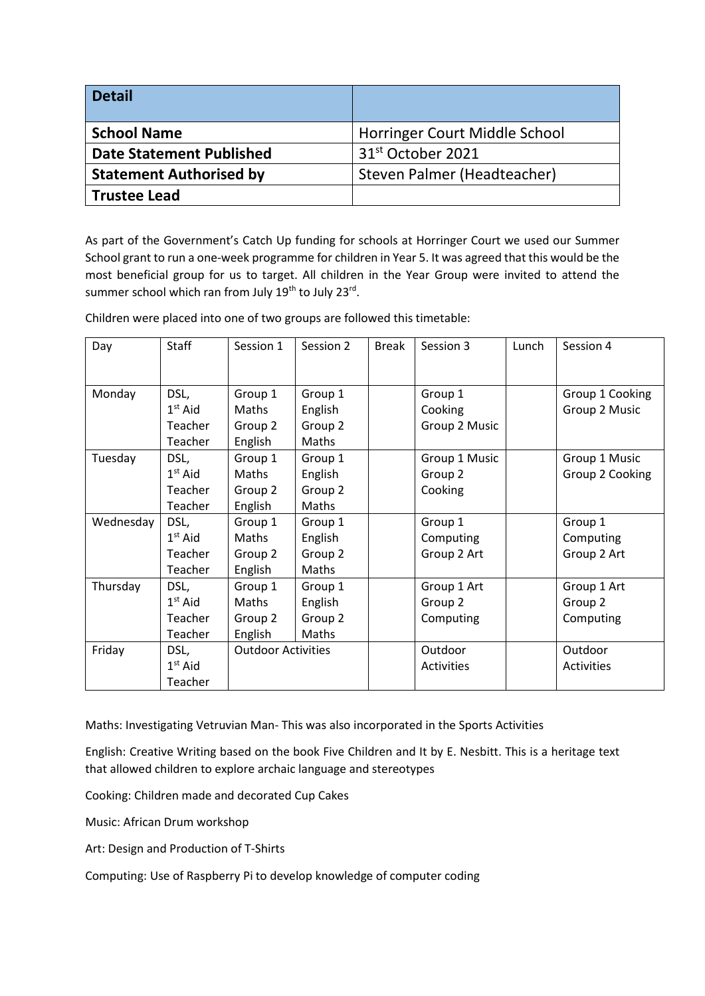| <b>Detail</b>                   |                               |
|---------------------------------|-------------------------------|
| <b>School Name</b>              | Horringer Court Middle School |
| <b>Date Statement Published</b> | 31 <sup>st</sup> October 2021 |
| <b>Statement Authorised by</b>  | Steven Palmer (Headteacher)   |
| <b>Trustee Lead</b>             |                               |

As part of the Government's Catch Up funding for schools at Horringer Court we used our Summer School grant to run a one-week programme for children in Year 5. It was agreed that this would be the most beneficial group for us to target. All children in the Year Group were invited to attend the summer school which ran from July 19<sup>th</sup> to July 23<sup>rd</sup>.

Children were placed into one of two groups are followed this timetable:

| Day       | Staff     | Session 1                 | Session 2    | <b>Break</b> | Session 3         | Lunch | Session 4         |
|-----------|-----------|---------------------------|--------------|--------------|-------------------|-------|-------------------|
|           |           |                           |              |              |                   |       |                   |
|           |           |                           |              |              |                   |       |                   |
| Monday    | DSL,      | Group 1                   | Group 1      |              | Group 1           |       | Group 1 Cooking   |
|           | $1st$ Aid | Maths                     | English      |              | Cooking           |       | Group 2 Music     |
|           | Teacher   | Group 2                   | Group 2      |              | Group 2 Music     |       |                   |
|           | Teacher   | English                   | <b>Maths</b> |              |                   |       |                   |
| Tuesday   | DSL,      | Group 1                   | Group 1      |              | Group 1 Music     |       | Group 1 Music     |
|           | $1st$ Aid | Maths                     | English      |              | Group 2           |       | Group 2 Cooking   |
|           | Teacher   | Group 2                   | Group 2      |              | Cooking           |       |                   |
|           | Teacher   | English                   | Maths        |              |                   |       |                   |
| Wednesday | DSL,      | Group 1                   | Group 1      |              | Group 1           |       | Group 1           |
|           | $1st$ Aid | Maths                     | English      |              | Computing         |       | Computing         |
|           | Teacher   | Group 2                   | Group 2      |              | Group 2 Art       |       | Group 2 Art       |
|           | Teacher   | English                   | Maths        |              |                   |       |                   |
| Thursday  | DSL,      | Group 1                   | Group 1      |              | Group 1 Art       |       | Group 1 Art       |
|           | $1st$ Aid | Maths                     | English      |              | Group 2           |       | Group 2           |
|           | Teacher   | Group 2                   | Group 2      |              | Computing         |       | Computing         |
|           | Teacher   | English                   | Maths        |              |                   |       |                   |
| Friday    | DSL,      | <b>Outdoor Activities</b> |              |              | Outdoor           |       | Outdoor           |
|           | $1st$ Aid |                           |              |              | <b>Activities</b> |       | <b>Activities</b> |
|           | Teacher   |                           |              |              |                   |       |                   |

Maths: Investigating Vetruvian Man- This was also incorporated in the Sports Activities

English: Creative Writing based on the book Five Children and It by E. Nesbitt. This is a heritage text that allowed children to explore archaic language and stereotypes

Cooking: Children made and decorated Cup Cakes

Music: African Drum workshop

Art: Design and Production of T-Shirts

Computing: Use of Raspberry Pi to develop knowledge of computer coding